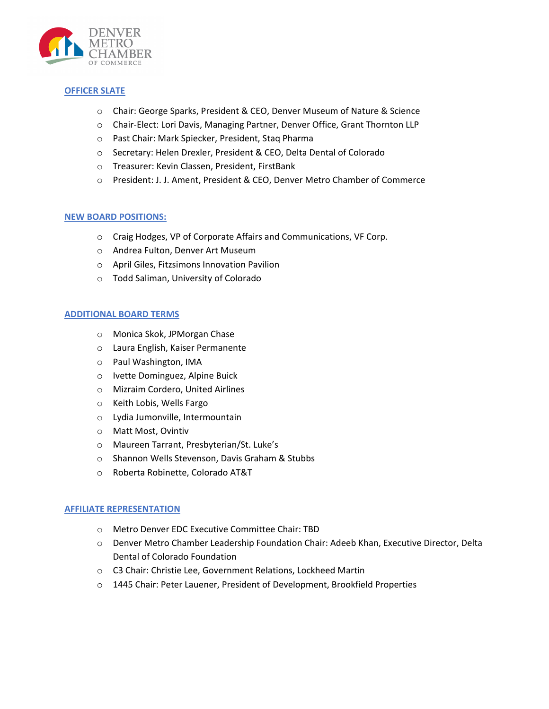

## **OFFICER SLATE**

- o Chair: George Sparks, President & CEO, Denver Museum of Nature & Science
- o Chair-Elect: Lori Davis, Managing Partner, Denver Office, Grant Thornton LLP
- o Past Chair: Mark Spiecker, President, Staq Pharma
- o Secretary: Helen Drexler, President & CEO, Delta Dental of Colorado
- o Treasurer: Kevin Classen, President, FirstBank
- o President: J. J. Ament, President & CEO, Denver Metro Chamber of Commerce

## **NEW BOARD POSITIONS:**

- o Craig Hodges, VP of Corporate Affairs and Communications, VF Corp.
- o Andrea Fulton, Denver Art Museum
- o April Giles, Fitzsimons Innovation Pavilion
- o Todd Saliman, University of Colorado

## **ADDITIONAL BOARD TERMS**

- o Monica Skok, JPMorgan Chase
- o Laura English, Kaiser Permanente
- o Paul Washington, IMA
- o Ivette Dominguez, Alpine Buick
- o Mizraim Cordero, United Airlines
- o Keith Lobis, Wells Fargo
- o Lydia Jumonville, Intermountain
- o Matt Most, Ovintiv
- o Maureen Tarrant, Presbyterian/St. Luke's
- o Shannon Wells Stevenson, Davis Graham & Stubbs
- o Roberta Robinette, Colorado AT&T

# **AFFILIATE REPRESENTATION**

- o Metro Denver EDC Executive Committee Chair: TBD
- o Denver Metro Chamber Leadership Foundation Chair: Adeeb Khan, Executive Director, Delta Dental of Colorado Foundation
- o C3 Chair: Christie Lee, Government Relations, Lockheed Martin
- o 1445 Chair: Peter Lauener, President of Development, Brookfield Properties